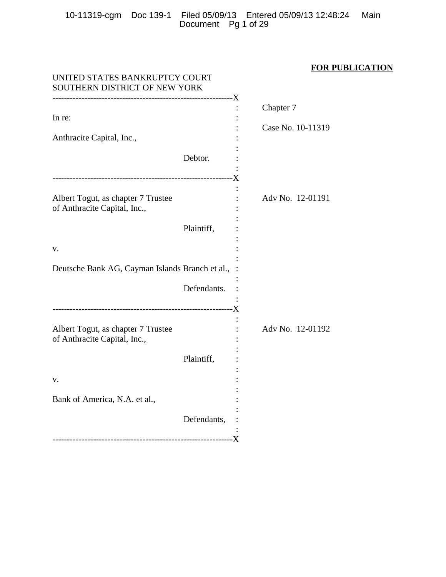10-11319-cgm Doc 139-1 Filed 05/09/13 Entered 05/09/13 12:48:24 Main Document Pg 1 of 29

# **FOR PUBLICATION**

| UNITED STATES BANKRUPTCY COURT<br>SOUTHERN DISTRICT OF NEW YORK    |             |                   |
|--------------------------------------------------------------------|-------------|-------------------|
| In re:                                                             |             | Chapter 7         |
| Anthracite Capital, Inc.,                                          |             | Case No. 10-11319 |
|                                                                    | Debtor.     |                   |
| Albert Togut, as chapter 7 Trustee<br>of Anthracite Capital, Inc., |             | Adv No. 12-01191  |
|                                                                    | Plaintiff,  |                   |
| V.                                                                 |             |                   |
| Deutsche Bank AG, Cayman Islands Branch et al.,                    |             |                   |
|                                                                    | Defendants. |                   |
| Albert Togut, as chapter 7 Trustee<br>of Anthracite Capital, Inc., | Plaintiff,  | Adv No. 12-01192  |
| v.                                                                 |             |                   |
| Bank of America, N.A. et al.,                                      |             |                   |
|                                                                    | Defendants, |                   |
|                                                                    |             |                   |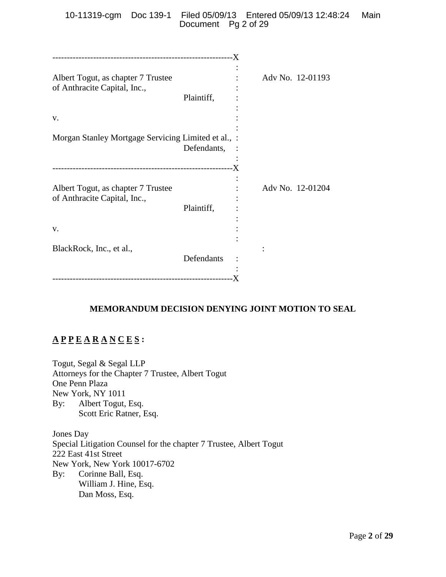10-11319-cgm Doc 139-1 Filed 05/09/13 Entered 05/09/13 12:48:24 Main Document Pg 2 of 29

| Albert Togut, as chapter 7 Trustee<br>of Anthracite Capital, Inc.,       | Plaintiff,    | Adv No. 12-01193 |  |
|--------------------------------------------------------------------------|---------------|------------------|--|
| V.                                                                       |               |                  |  |
| Morgan Stanley Mortgage Servicing Limited et al., :                      | Defendants, : |                  |  |
| Albert Togut, as chapter 7 Trustee<br>of Anthracite Capital, Inc.,<br>V. | Plaintiff,    | Adv No. 12-01204 |  |
| BlackRock, Inc., et al.,                                                 | Defendants    |                  |  |

# **MEMORANDUM DECISION DENYING JOINT MOTION TO SEAL**

# **A P P E A R A N C E S :**

Togut, Segal & Segal LLP Attorneys for the Chapter 7 Trustee, Albert Togut One Penn Plaza New York, NY 1011 By: Albert Togut, Esq. Scott Eric Ratner, Esq.

Jones Day Special Litigation Counsel for the chapter 7 Trustee, Albert Togut 222 East 41st Street New York, New York 10017-6702 By: Corinne Ball, Esq. William J. Hine, Esq. Dan Moss, Esq.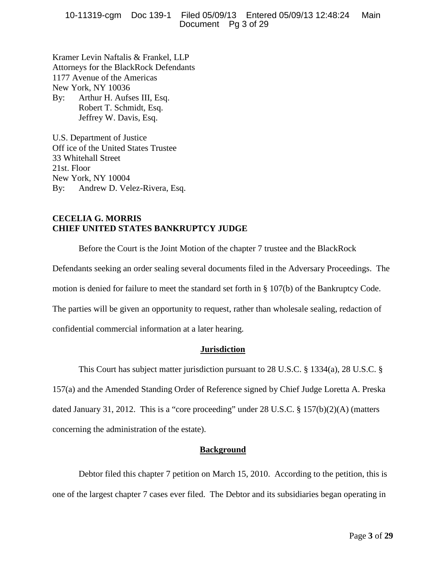10-11319-cgm Doc 139-1 Filed 05/09/13 Entered 05/09/13 12:48:24 Main Document Pg 3 of 29

Kramer Levin Naftalis & Frankel, LLP Attorneys for the BlackRock Defendants 1177 Avenue of the Americas New York, NY 10036 By: Arthur H. Aufses III, Esq. Robert T. Schmidt, Esq. Jeffrey W. Davis, Esq.

U.S. Department of Justice Off ice of the United States Trustee 33 Whitehall Street 21st. Floor New York, NY 10004 By: Andrew D. Velez-Rivera, Esq.

# **CECELIA G. MORRIS CHIEF UNITED STATES BANKRUPTCY JUDGE**

Before the Court is the Joint Motion of the chapter 7 trustee and the BlackRock

Defendants seeking an order sealing several documents filed in the Adversary Proceedings. The

motion is denied for failure to meet the standard set forth in § 107(b) of the Bankruptcy Code.

The parties will be given an opportunity to request, rather than wholesale sealing, redaction of

confidential commercial information at a later hearing.

## **Jurisdiction**

This Court has subject matter jurisdiction pursuant to 28 U.S.C. § 1334(a), 28 U.S.C. §

157(a) and the Amended Standing Order of Reference signed by Chief Judge Loretta A. Preska dated January 31, 2012. This is a "core proceeding" under 28 U.S.C. § 157(b)(2)(A) (matters concerning the administration of the estate).

## **Background**

Debtor filed this chapter 7 petition on March 15, 2010. According to the petition, this is one of the largest chapter 7 cases ever filed. The Debtor and its subsidiaries began operating in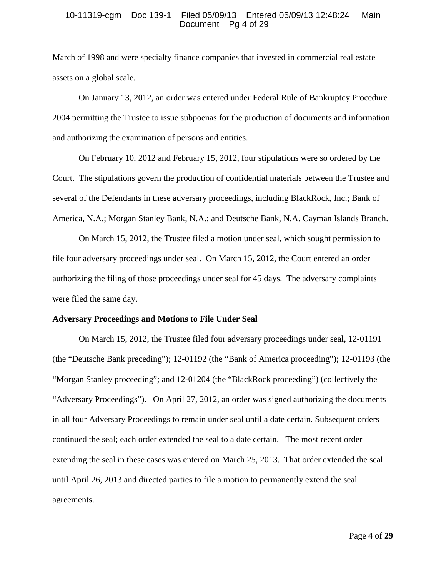#### 10-11319-cgm Doc 139-1 Filed 05/09/13 Entered 05/09/13 12:48:24 Main Document Pg 4 of 29

March of 1998 and were specialty finance companies that invested in commercial real estate assets on a global scale.

On January 13, 2012, an order was entered under Federal Rule of Bankruptcy Procedure 2004 permitting the Trustee to issue subpoenas for the production of documents and information and authorizing the examination of persons and entities.

On February 10, 2012 and February 15, 2012, four stipulations were so ordered by the Court. The stipulations govern the production of confidential materials between the Trustee and several of the Defendants in these adversary proceedings, including BlackRock, Inc.; Bank of America, N.A.; Morgan Stanley Bank, N.A.; and Deutsche Bank, N.A. Cayman Islands Branch.

On March 15, 2012, the Trustee filed a motion under seal, which sought permission to file four adversary proceedings under seal. On March 15, 2012, the Court entered an order authorizing the filing of those proceedings under seal for 45 days. The adversary complaints were filed the same day.

#### **Adversary Proceedings and Motions to File Under Seal**

On March 15, 2012, the Trustee filed four adversary proceedings under seal, 12-01191 (the "Deutsche Bank preceding"); 12-01192 (the "Bank of America proceeding"); 12-01193 (the "Morgan Stanley proceeding"; and 12-01204 (the "BlackRock proceeding") (collectively the "Adversary Proceedings"). On April 27, 2012, an order was signed authorizing the documents in all four Adversary Proceedings to remain under seal until a date certain. Subsequent orders continued the seal; each order extended the seal to a date certain. The most recent order extending the seal in these cases was entered on March 25, 2013. That order extended the seal until April 26, 2013 and directed parties to file a motion to permanently extend the seal agreements.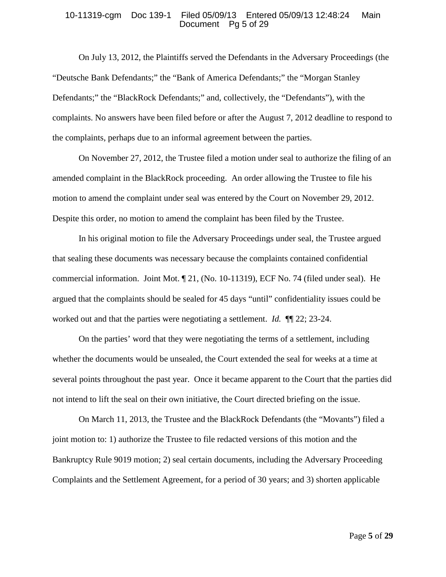#### 10-11319-cgm Doc 139-1 Filed 05/09/13 Entered 05/09/13 12:48:24 Main Document Pg 5 of 29

On July 13, 2012, the Plaintiffs served the Defendants in the Adversary Proceedings (the "Deutsche Bank Defendants;" the "Bank of America Defendants;" the "Morgan Stanley Defendants;" the "BlackRock Defendants;" and, collectively, the "Defendants"), with the complaints. No answers have been filed before or after the August 7, 2012 deadline to respond to the complaints, perhaps due to an informal agreement between the parties.

On November 27, 2012, the Trustee filed a motion under seal to authorize the filing of an amended complaint in the BlackRock proceeding. An order allowing the Trustee to file his motion to amend the complaint under seal was entered by the Court on November 29, 2012. Despite this order, no motion to amend the complaint has been filed by the Trustee.

In his original motion to file the Adversary Proceedings under seal, the Trustee argued that sealing these documents was necessary because the complaints contained confidential commercial information. Joint Mot. ¶ 21, (No. 10-11319), ECF No. 74 (filed under seal). He argued that the complaints should be sealed for 45 days "until" confidentiality issues could be worked out and that the parties were negotiating a settlement. *Id.* ¶¶ 22; 23-24.

On the parties' word that they were negotiating the terms of a settlement, including whether the documents would be unsealed, the Court extended the seal for weeks at a time at several points throughout the past year. Once it became apparent to the Court that the parties did not intend to lift the seal on their own initiative, the Court directed briefing on the issue.

On March 11, 2013, the Trustee and the BlackRock Defendants (the "Movants") filed a joint motion to: 1) authorize the Trustee to file redacted versions of this motion and the Bankruptcy Rule 9019 motion; 2) seal certain documents, including the Adversary Proceeding Complaints and the Settlement Agreement, for a period of 30 years; and 3) shorten applicable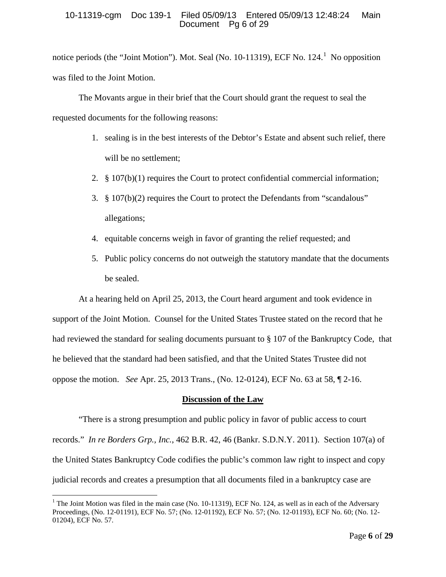## 10-11319-cgm Doc 139-1 Filed 05/09/13 Entered 05/09/13 12:48:24 Main Document Pg 6 of 29

notice periods (the "Joint Motion"). Mot. Seal (No. [1](#page-5-0)0-11319), ECF No.  $124<sup>1</sup>$  No opposition was filed to the Joint Motion.

The Movants argue in their brief that the Court should grant the request to seal the requested documents for the following reasons:

- 1. sealing is in the best interests of the Debtor's Estate and absent such relief, there will be no settlement;
- 2. § 107(b)(1) requires the Court to protect confidential commercial information;
- 3. § 107(b)(2) requires the Court to protect the Defendants from "scandalous" allegations;
- 4. equitable concerns weigh in favor of granting the relief requested; and
- 5. Public policy concerns do not outweigh the statutory mandate that the documents be sealed.

At a hearing held on April 25, 2013, the Court heard argument and took evidence in support of the Joint Motion. Counsel for the United States Trustee stated on the record that he had reviewed the standard for sealing documents pursuant to § 107 of the Bankruptcy Code, that he believed that the standard had been satisfied, and that the United States Trustee did not oppose the motion. *See* Apr. 25, 2013 Trans., (No. 12-0124), ECF No. 63 at 58, ¶ 2-16.

# **Discussion of the Law**

"There is a strong presumption and public policy in favor of public access to court records." *In re Borders Grp., Inc.*, 462 B.R. 42, 46 (Bankr. S.D.N.Y. 2011). Section 107(a) of the United States Bankruptcy Code codifies the public's common law right to inspect and copy judicial records and creates a presumption that all documents filed in a bankruptcy case are

<span id="page-5-0"></span><sup>&</sup>lt;sup>1</sup> The Joint Motion was filed in the main case (No. 10-11319), ECF No. 124, as well as in each of the Adversary Proceedings, (No. 12-01191), ECF No. 57; (No. 12-01192), ECF No. 57; (No. 12-01193), ECF No. 60; (No. 12- 01204), ECF No. 57.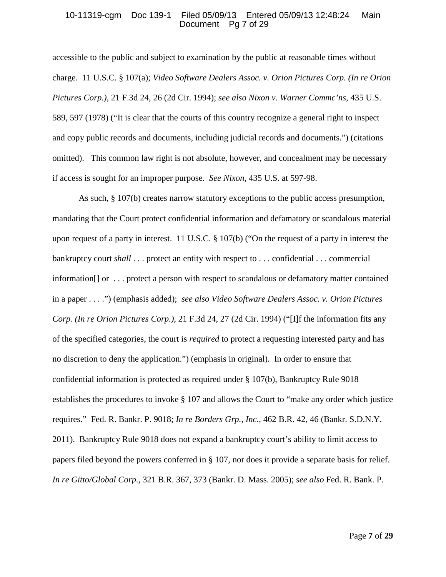#### 10-11319-cgm Doc 139-1 Filed 05/09/13 Entered 05/09/13 12:48:24 Main Document Pg 7 of 29

accessible to the public and subject to examination by the public at reasonable times without charge. 11 U.S.C. § 107(a); *Video Software Dealers Assoc. v. Orion Pictures Corp. (In re Orion Pictures Corp.)*, 21 F.3d 24, 26 (2d Cir. 1994); *see also Nixon v. Warner Commc'ns*, 435 U.S. 589, 597 (1978) ("It is clear that the courts of this country recognize a general right to inspect and copy public records and documents, including judicial records and documents.") (citations omitted). This common law right is not absolute, however, and concealment may be necessary if access is sought for an improper purpose. *See Nixon*, 435 U.S. at 597-98.

As such, § 107(b) creates narrow statutory exceptions to the public access presumption, mandating that the Court protect confidential information and defamatory or scandalous material upon request of a party in interest. 11 U.S.C. § 107(b) ("On the request of a party in interest the bankruptcy court *shall* . . . protect an entity with respect to . . . confidential . . . commercial information[] or . . . protect a person with respect to scandalous or defamatory matter contained in a paper . . . .") (emphasis added); *see also Video Software Dealers Assoc. v. Orion Pictures Corp. (In re Orion Pictures Corp.)*, 21 F.3d 24, 27 (2d Cir. 1994) ("[I]f the information fits any of the specified categories, the court is *required* to protect a requesting interested party and has no discretion to deny the application.") (emphasis in original). In order to ensure that confidential information is protected as required under § 107(b), Bankruptcy Rule 9018 establishes the procedures to invoke § 107 and allows the Court to "make any order which justice requires." Fed. R. Bankr. P. 9018; *In re Borders Grp., Inc.*, 462 B.R. 42, 46 (Bankr. S.D.N.Y. 2011). Bankruptcy Rule 9018 does not expand a bankruptcy court's ability to limit access to papers filed beyond the powers conferred in § 107, nor does it provide a separate basis for relief. *In re Gitto/Global Corp.*, 321 B.R. 367, 373 (Bankr. D. Mass. 2005); *see also* Fed. R. Bank. P.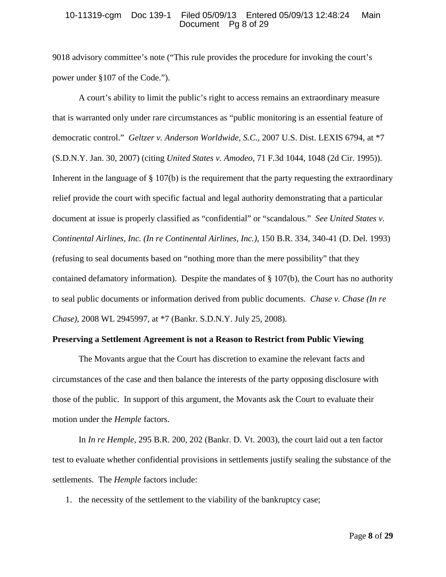#### 10-11319-cgm Doc 139-1 Filed 05/09/13 Entered 05/09/13 12:48:24 Main Document Pg 8 of 29

9018 advisory committee's note ("This rule provides the procedure for invoking the court's power under §107 of the Code.").

A court's ability to limit the public's right to access remains an extraordinary measure that is warranted only under rare circumstances as "public monitoring is an essential feature of democratic control." *Geltzer v. Anderson Worldwide, S.C.*, 2007 U.S. Dist. LEXIS 6794, at \*7 (S.D.N.Y. Jan. 30, 2007) (citing *United States v. Amodeo*, 71 F.3d 1044, 1048 (2d Cir. 1995)). Inherent in the language of § 107(b) is the requirement that the party requesting the extraordinary relief provide the court with specific factual and legal authority demonstrating that a particular document at issue is properly classified as "confidential" or "scandalous." *See United States v. Continental Airlines, Inc. (In re Continental Airlines, Inc.)*, 150 B.R. 334, 340-41 (D. Del. 1993) (refusing to seal documents based on "nothing more than the mere possibility" that they contained defamatory information). Despite the mandates of § 107(b), the Court has no authority to seal public documents or information derived from public documents. *Chase v. Chase (In re Chase)*, 2008 WL 2945997, at \*7 (Bankr. S.D.N.Y. July 25, 2008).

#### **Preserving a Settlement Agreement is not a Reason to Restrict from Public Viewing**

The Movants argue that the Court has discretion to examine the relevant facts and circumstances of the case and then balance the interests of the party opposing disclosure with those of the public. In support of this argument, the Movants ask the Court to evaluate their motion under the *Hemple* factors.

In *In re Hemple*, 295 B.R. 200, 202 (Bankr. D. Vt. 2003), the court laid out a ten factor test to evaluate whether confidential provisions in settlements justify sealing the substance of the settlements. The *Hemple* factors include:

1. the necessity of the settlement to the viability of the bankruptcy case;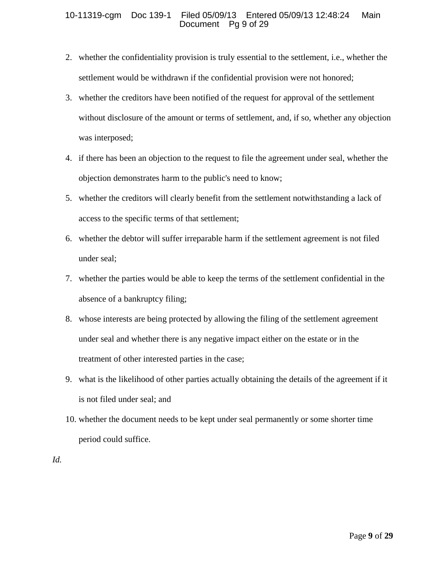## 10-11319-cgm Doc 139-1 Filed 05/09/13 Entered 05/09/13 12:48:24 Main Document Pg 9 of 29

- 2. whether the confidentiality provision is truly essential to the settlement, i.e., whether the settlement would be withdrawn if the confidential provision were not honored;
- 3. whether the creditors have been notified of the request for approval of the settlement without disclosure of the amount or terms of settlement, and, if so, whether any objection was interposed;
- 4. if there has been an objection to the request to file the agreement under seal, whether the objection demonstrates harm to the public's need to know;
- 5. whether the creditors will clearly benefit from the settlement notwithstanding a lack of access to the specific terms of that settlement;
- 6. whether the debtor will suffer irreparable harm if the settlement agreement is not filed under seal;
- 7. whether the parties would be able to keep the terms of the settlement confidential in the absence of a bankruptcy filing;
- 8. whose interests are being protected by allowing the filing of the settlement agreement under seal and whether there is any negative impact either on the estate or in the treatment of other interested parties in the case;
- 9. what is the likelihood of other parties actually obtaining the details of the agreement if it is not filed under seal; and
- 10. whether the document needs to be kept under seal permanently or some shorter time period could suffice.
- *Id.*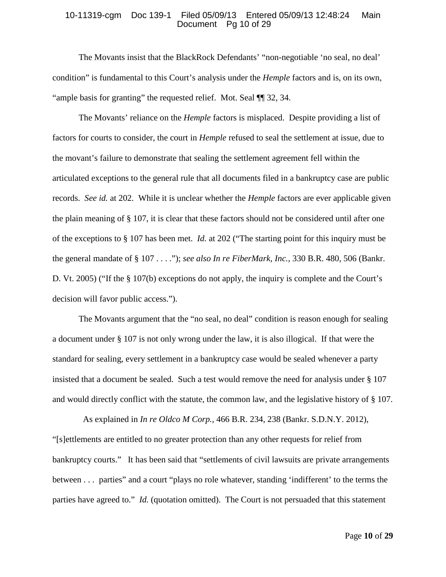#### 10-11319-cgm Doc 139-1 Filed 05/09/13 Entered 05/09/13 12:48:24 Main Document Pg 10 of 29

The Movants insist that the BlackRock Defendants' "non-negotiable 'no seal, no deal' condition" is fundamental to this Court's analysis under the *Hemple* factors and is, on its own, "ample basis for granting" the requested relief. Mot. Seal ¶¶ 32, 34.

The Movants' reliance on the *Hemple* factors is misplaced. Despite providing a list of factors for courts to consider, the court in *Hemple* refused to seal the settlement at issue, due to the movant's failure to demonstrate that sealing the settlement agreement fell within the articulated exceptions to the general rule that all documents filed in a bankruptcy case are public records. *See id.* at 202. While it is unclear whether the *Hemple* factors are ever applicable given the plain meaning of § 107, it is clear that these factors should not be considered until after one of the exceptions to § 107 has been met. *Id.* at 202 ("The starting point for this inquiry must be the general mandate of § 107 . . . ."); *see also In re FiberMark, Inc.*, 330 B.R. 480, 506 (Bankr. D. Vt. 2005) ("If the § 107(b) exceptions do not apply, the inquiry is complete and the Court's decision will favor public access.").

The Movants argument that the "no seal, no deal" condition is reason enough for sealing a document under § 107 is not only wrong under the law, it is also illogical. If that were the standard for sealing, every settlement in a bankruptcy case would be sealed whenever a party insisted that a document be sealed. Such a test would remove the need for analysis under § 107 and would directly conflict with the statute, the common law, and the legislative history of § 107.

 As explained in *In re Oldco M Corp.*, 466 B.R. 234, 238 (Bankr. S.D.N.Y. 2012), "[s]ettlements are entitled to no greater protection than any other requests for relief from bankruptcy courts." It has been said that "settlements of civil lawsuits are private arrangements between . . . parties" and a court "plays no role whatever, standing 'indifferent' to the terms the parties have agreed to." *Id.* (quotation omitted). The Court is not persuaded that this statement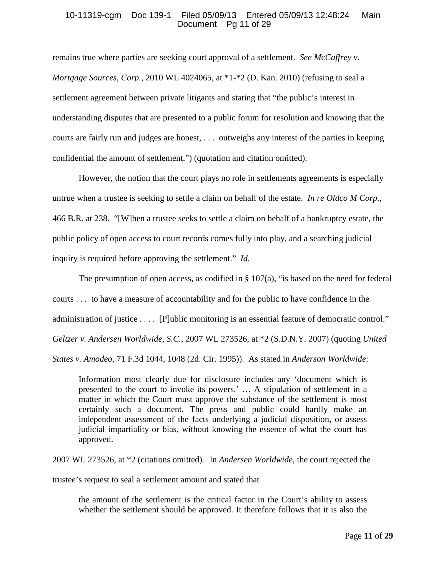## 10-11319-cgm Doc 139-1 Filed 05/09/13 Entered 05/09/13 12:48:24 Main Document Pg 11 of 29

remains true where parties are seeking court approval of a settlement. *See McCaffrey v. Mortgage Sources, Corp.*, 2010 WL 4024065, at \*1-\*2 (D. Kan. 2010) (refusing to seal a settlement agreement between private litigants and stating that "the public's interest in understanding disputes that are presented to a public forum for resolution and knowing that the courts are fairly run and judges are honest, . . . outweighs any interest of the parties in keeping confidential the amount of settlement.") (quotation and citation omitted).

However, the notion that the court plays no role in settlements agreements is especially untrue when a trustee is seeking to settle a claim on behalf of the estate. *In re Oldco M Corp.*, 466 B.R. at 238. "[W]hen a trustee seeks to settle a claim on behalf of a bankruptcy estate, the public policy of open access to court records comes fully into play, and a searching judicial inquiry is required before approving the settlement." *Id.*

The presumption of open access, as codified in  $\S 107(a)$ , "is based on the need for federal courts . . . to have a measure of accountability and for the public to have confidence in the administration of justice . . . . [P]ublic monitoring is an essential feature of democratic control." *Geltzer v. Andersen Worldwide, S.C.*, 2007 WL 273526, at \*2 (S.D.N.Y. 2007) (quoting *United States v. Amodeo,* 71 F.3d 1044, 1048 (2d. Cir. 1995)). As stated in *Anderson Worldwide*:

Information most clearly due for disclosure includes any 'document which is presented to the court to invoke its powers.' … A stipulation of settlement in a matter in which the Court must approve the substance of the settlement is most certainly such a document. The press and public could hardly make an independent assessment of the facts underlying a judicial disposition, or assess judicial impartiality or bias, without knowing the essence of what the court has approved.

2007 WL 273526, at \*2 (citations omitted). In *Andersen Worldwide*, the court rejected the

trustee's request to seal a settlement amount and stated that

the amount of the settlement is the critical factor in the Court's ability to assess whether the settlement should be approved. It therefore follows that it is also the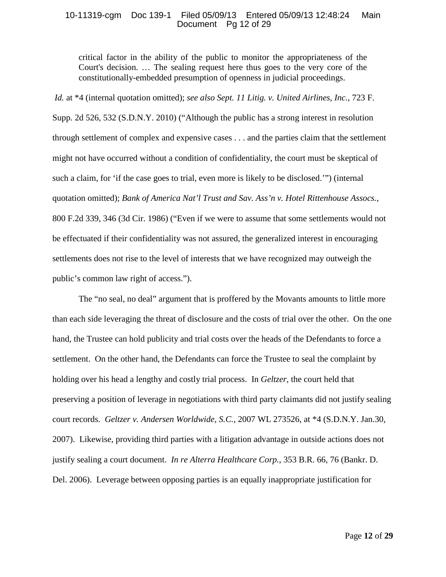## 10-11319-cgm Doc 139-1 Filed 05/09/13 Entered 05/09/13 12:48:24 Main Document Pg 12 of 29

critical factor in the ability of the public to monitor the appropriateness of the Court's decision. … The sealing request here thus goes to the very core of the constitutionally-embedded presumption of openness in judicial proceedings.

*Id.* at \*4 (internal quotation omitted); *see also Sept. 11 Litig. v. United Airlines, Inc.*, 723 F. Supp. 2d 526, 532 (S.D.N.Y. 2010) ("Although the public has a strong interest in resolution through settlement of complex and expensive cases . . . and the parties claim that the settlement might not have occurred without a condition of confidentiality, the court must be skeptical of such a claim, for 'if the case goes to trial, even more is likely to be disclosed.'") (internal quotation omitted); *Bank of America Nat'l Trust and Sav. Ass'n v. Hotel Rittenhouse Assocs.*, 800 F.2d 339, 346 (3d Cir. 1986) ("Even if we were to assume that some settlements would not be effectuated if their confidentiality was not assured, the generalized interest in encouraging settlements does not rise to the level of interests that we have recognized may outweigh the public's common law right of access.").

The "no seal, no deal" argument that is proffered by the Movants amounts to little more than each side leveraging the threat of disclosure and the costs of trial over the other. On the one hand, the Trustee can hold publicity and trial costs over the heads of the Defendants to force a settlement. On the other hand, the Defendants can force the Trustee to seal the complaint by holding over his head a lengthy and costly trial process. In *Geltzer*, the court held that preserving a position of leverage in negotiations with third party claimants did not justify sealing court records. *Geltzer v. Andersen Worldwide, S.C.*, 2007 WL 273526, at \*4 (S.D.N.Y. Jan.30, 2007). Likewise, providing third parties with a litigation advantage in outside actions does not justify sealing a court document. *In re Alterra Healthcare Corp.*, 353 B.R. 66, 76 (Bankr. D. Del. 2006). Leverage between opposing parties is an equally inappropriate justification for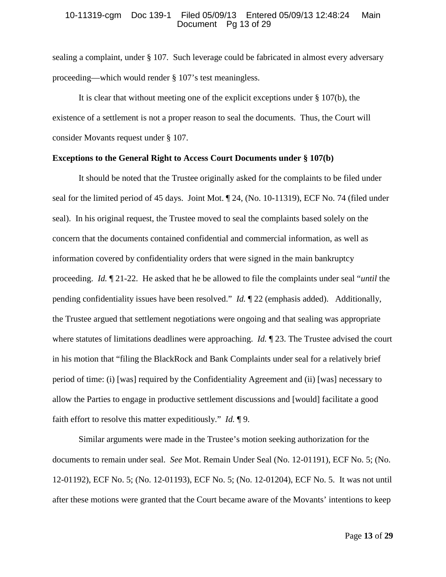#### 10-11319-cgm Doc 139-1 Filed 05/09/13 Entered 05/09/13 12:48:24 Main Document Pg 13 of 29

sealing a complaint, under § 107. Such leverage could be fabricated in almost every adversary proceeding—which would render § 107's test meaningless.

It is clear that without meeting one of the explicit exceptions under § 107(b), the existence of a settlement is not a proper reason to seal the documents. Thus, the Court will consider Movants request under § 107.

## **Exceptions to the General Right to Access Court Documents under § 107(b)**

It should be noted that the Trustee originally asked for the complaints to be filed under seal for the limited period of 45 days. Joint Mot. ¶ 24, (No. 10-11319), ECF No. 74 (filed under seal). In his original request, the Trustee moved to seal the complaints based solely on the concern that the documents contained confidential and commercial information, as well as information covered by confidentiality orders that were signed in the main bankruptcy proceeding. *Id.* ¶ 21-22. He asked that he be allowed to file the complaints under seal "*until* the pending confidentiality issues have been resolved." *Id.* ¶ 22 (emphasis added). Additionally, the Trustee argued that settlement negotiations were ongoing and that sealing was appropriate where statutes of limitations deadlines were approaching. *Id.* 123. The Trustee advised the court in his motion that "filing the BlackRock and Bank Complaints under seal for a relatively brief period of time: (i) [was] required by the Confidentiality Agreement and (ii) [was] necessary to allow the Parties to engage in productive settlement discussions and [would] facilitate a good faith effort to resolve this matter expeditiously." *Id.* ¶ 9.

Similar arguments were made in the Trustee's motion seeking authorization for the documents to remain under seal. *See* Mot. Remain Under Seal (No. 12-01191), ECF No. 5; (No. 12-01192), ECF No. 5; (No. 12-01193), ECF No. 5; (No. 12-01204), ECF No. 5. It was not until after these motions were granted that the Court became aware of the Movants' intentions to keep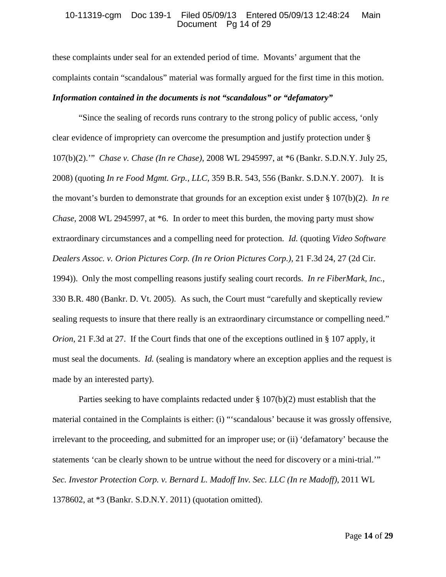#### 10-11319-cgm Doc 139-1 Filed 05/09/13 Entered 05/09/13 12:48:24 Main Document Pg 14 of 29

these complaints under seal for an extended period of time. Movants' argument that the complaints contain "scandalous" material was formally argued for the first time in this motion. *Information contained in the documents is not "scandalous" or "defamatory"*

"Since the sealing of records runs contrary to the strong policy of public access, 'only clear evidence of impropriety can overcome the presumption and justify protection under § 107(b)(2).'" *Chase v. Chase (In re Chase)*, 2008 WL 2945997, at \*6 (Bankr. S.D.N.Y. July 25, 2008) (quoting *In re Food Mgmt. Grp., LLC*, 359 B.R. 543, 556 (Bankr. S.D.N.Y. 2007). It is the movant's burden to demonstrate that grounds for an exception exist under § 107(b)(2). *In re Chase*, 2008 WL 2945997, at \*6. In order to meet this burden, the moving party must show extraordinary circumstances and a compelling need for protection. *Id.* (quoting *Video Software Dealers Assoc. v. Orion Pictures Corp. (In re Orion Pictures Corp.)*, 21 F.3d 24, 27 (2d Cir. 1994)). Only the most compelling reasons justify sealing court records. *In re FiberMark, Inc.*, 330 B.R. 480 (Bankr. D. Vt. 2005). As such, the Court must "carefully and skeptically review sealing requests to insure that there really is an extraordinary circumstance or compelling need." *Orion*, 21 F.3d at 27. If the Court finds that one of the exceptions outlined in § 107 apply, it must seal the documents. *Id.* (sealing is mandatory where an exception applies and the request is made by an interested party).

Parties seeking to have complaints redacted under § 107(b)(2) must establish that the material contained in the Complaints is either: (i) "'scandalous' because it was grossly offensive, irrelevant to the proceeding, and submitted for an improper use; or (ii) 'defamatory' because the statements 'can be clearly shown to be untrue without the need for discovery or a mini-trial.'" *Sec. Investor Protection Corp. v. Bernard L. Madoff Inv. Sec. LLC (In re Madoff)*, 2011 WL 1378602, at \*3 (Bankr. S.D.N.Y. 2011) (quotation omitted).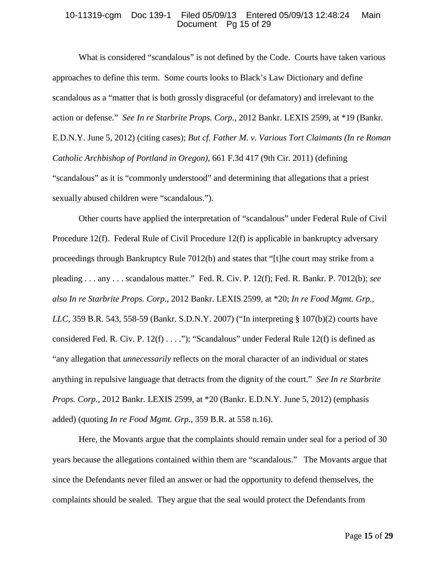## 10-11319-cgm Doc 139-1 Filed 05/09/13 Entered 05/09/13 12:48:24 Main Document Pg 15 of 29

What is considered "scandalous" is not defined by the Code. Courts have taken various approaches to define this term. Some courts looks to Black's Law Dictionary and define scandalous as a "matter that is both grossly disgraceful (or defamatory) and irrelevant to the action or defense." *See In re Starbrite Props. Corp.*, 2012 Bankr. LEXIS 2599, at \*19 (Bankr. E.D.N.Y. June 5, 2012) (citing cases); *But cf. Father M. v. Various Tort Claimants (In re Roman Catholic Archbishop of Portland in Oregon)*, 661 F.3d 417 (9th Cir. 2011) (defining "scandalous" as it is "commonly understood" and determining that allegations that a priest sexually abused children were "scandalous.").

Other courts have applied the interpretation of "scandalous" under Federal Rule of Civil Procedure 12(f). Federal Rule of Civil Procedure 12(f) is applicable in bankruptcy adversary proceedings through Bankruptcy Rule 7012(b) and states that "[t]he court may strike from a pleading . . . any . . . scandalous matter." Fed. R. Civ. P. 12(f); Fed. R. Bankr. P. 7012(b); *see also In re Starbrite Props. Corp.*, 2012 Bankr. LEXIS 2599, at \*20; *In re Food Mgmt. Grp., LLC*, 359 B.R. 543, 558-59 (Bankr. S.D.N.Y. 2007) ("In interpreting § 107(b)(2) courts have considered Fed. R. Civ. P. 12(f) . . . ."); "Scandalous" under Federal Rule 12(f) is defined as "any allegation that *unnecessarily* reflects on the moral character of an individual or states anything in repulsive language that detracts from the dignity of the court." *See In re Starbrite Props. Corp.*, 2012 Bankr. LEXIS 2599, at \*20 (Bankr. E.D.N.Y. June 5, 2012) (emphasis added) (quoting *In re Food Mgmt. Grp.*, 359 B.R. at 558 n.16).

Here, the Movants argue that the complaints should remain under seal for a period of 30 years because the allegations contained within them are "scandalous." The Movants argue that since the Defendants never filed an answer or had the opportunity to defend themselves, the complaints should be sealed. They argue that the seal would protect the Defendants from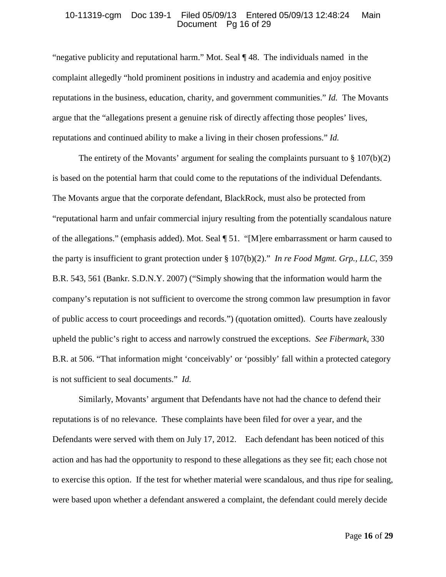#### 10-11319-cgm Doc 139-1 Filed 05/09/13 Entered 05/09/13 12:48:24 Main Document Pg 16 of 29

"negative publicity and reputational harm." Mot. Seal ¶ 48. The individuals named in the complaint allegedly "hold prominent positions in industry and academia and enjoy positive reputations in the business, education, charity, and government communities." *Id.* The Movants argue that the "allegations present a genuine risk of directly affecting those peoples' lives, reputations and continued ability to make a living in their chosen professions." *Id.*

The entirety of the Movants' argument for sealing the complaints pursuant to  $\S 107(b)(2)$ is based on the potential harm that could come to the reputations of the individual Defendants. The Movants argue that the corporate defendant, BlackRock, must also be protected from "reputational harm and unfair commercial injury resulting from the potentially scandalous nature of the allegations." (emphasis added). Mot. Seal ¶ 51. "[M]ere embarrassment or harm caused to the party is insufficient to grant protection under § 107(b)(2)." *In re Food Mgmt. Grp., LLC*, 359 B.R. 543, 561 (Bankr. S.D.N.Y. 2007) ("Simply showing that the information would harm the company's reputation is not sufficient to overcome the strong common law presumption in favor of public access to court proceedings and records.") (quotation omitted). Courts have zealously upheld the public's right to access and narrowly construed the exceptions. *See Fibermark*, 330 B.R. at 506. "That information might 'conceivably' or 'possibly' fall within a protected category is not sufficient to seal documents." *Id.* 

Similarly, Movants' argument that Defendants have not had the chance to defend their reputations is of no relevance. These complaints have been filed for over a year, and the Defendants were served with them on July 17, 2012. Each defendant has been noticed of this action and has had the opportunity to respond to these allegations as they see fit; each chose not to exercise this option. If the test for whether material were scandalous, and thus ripe for sealing, were based upon whether a defendant answered a complaint, the defendant could merely decide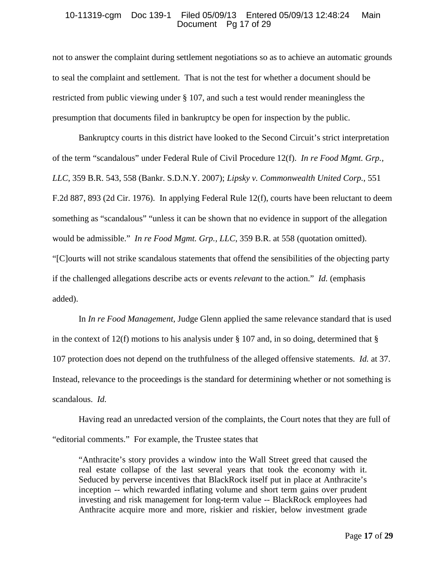#### 10-11319-cgm Doc 139-1 Filed 05/09/13 Entered 05/09/13 12:48:24 Main Document Pg 17 of 29

not to answer the complaint during settlement negotiations so as to achieve an automatic grounds to seal the complaint and settlement. That is not the test for whether a document should be restricted from public viewing under § 107, and such a test would render meaningless the presumption that documents filed in bankruptcy be open for inspection by the public.

Bankruptcy courts in this district have looked to the Second Circuit's strict interpretation of the term "scandalous" under Federal Rule of Civil Procedure 12(f). *In re Food Mgmt. Grp., LLC*, 359 B.R. 543, 558 (Bankr. S.D.N.Y. 2007); *Lipsky v. Commonwealth United Corp.*, 551 F.2d 887, 893 (2d Cir. 1976). In applying Federal Rule 12(f), courts have been reluctant to deem something as "scandalous" "unless it can be shown that no evidence in support of the allegation would be admissible." *In re Food Mgmt. Grp., LLC*, 359 B.R. at 558 (quotation omitted). "[C]ourts will not strike scandalous statements that offend the sensibilities of the objecting party if the challenged allegations describe acts or events *relevant* to the action." *Id.* (emphasis added).

In *In re Food Management*, Judge Glenn applied the same relevance standard that is used in the context of 12(f) motions to his analysis under  $\S$  107 and, in so doing, determined that  $\S$ 107 protection does not depend on the truthfulness of the alleged offensive statements. *Id.* at 37. Instead, relevance to the proceedings is the standard for determining whether or not something is scandalous. *Id.*

Having read an unredacted version of the complaints, the Court notes that they are full of "editorial comments." For example, the Trustee states that

"Anthracite's story provides a window into the Wall Street greed that caused the real estate collapse of the last several years that took the economy with it. Seduced by perverse incentives that BlackRock itself put in place at Anthracite's inception -- which rewarded inflating volume and short term gains over prudent investing and risk management for long-term value -- BlackRock employees had Anthracite acquire more and more, riskier and riskier, below investment grade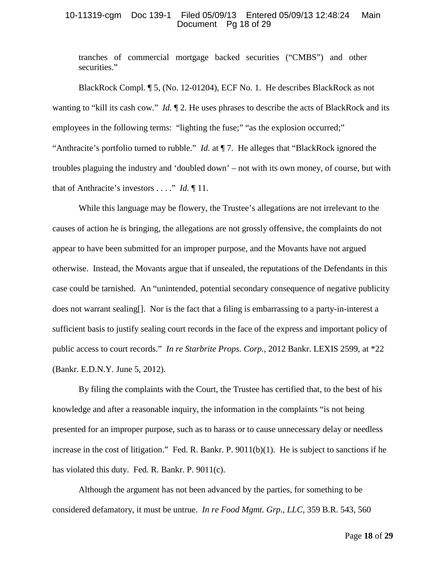## 10-11319-cgm Doc 139-1 Filed 05/09/13 Entered 05/09/13 12:48:24 Main Document Pg 18 of 29

tranches of commercial mortgage backed securities ("CMBS") and other securities."

BlackRock Compl. ¶ 5, (No. 12-01204), ECF No. 1. He describes BlackRock as not wanting to "kill its cash cow." *Id.*  $\llbracket 2$ . He uses phrases to describe the acts of BlackRock and its employees in the following terms: "lighting the fuse;" "as the explosion occurred;" "Anthracite's portfolio turned to rubble." *Id.* at ¶ 7. He alleges that "BlackRock ignored the troubles plaguing the industry and 'doubled down' – not with its own money, of course, but with that of Anthracite's investors . . . ." *Id.* ¶ 11.

While this language may be flowery, the Trustee's allegations are not irrelevant to the causes of action he is bringing, the allegations are not grossly offensive, the complaints do not appear to have been submitted for an improper purpose, and the Movants have not argued otherwise. Instead, the Movants argue that if unsealed, the reputations of the Defendants in this case could be tarnished. An "unintended, potential secondary consequence of negative publicity does not warrant sealing[]. Nor is the fact that a filing is embarrassing to a party-in-interest a sufficient basis to justify sealing court records in the face of the express and important policy of public access to court records." *In re Starbrite Props. Corp.*, 2012 Bankr. LEXIS 2599, at \*22 (Bankr. E.D.N.Y. June 5, 2012).

By filing the complaints with the Court, the Trustee has certified that, to the best of his knowledge and after a reasonable inquiry, the information in the complaints "is not being presented for an improper purpose, such as to harass or to cause unnecessary delay or needless increase in the cost of litigation." Fed. R. Bankr. P. 9011(b)(1). He is subject to sanctions if he has violated this duty. Fed. R. Bankr. P. 9011(c).

Although the argument has not been advanced by the parties, for something to be considered defamatory, it must be untrue. *In re Food Mgmt. Grp., LLC*, 359 B.R. 543, 560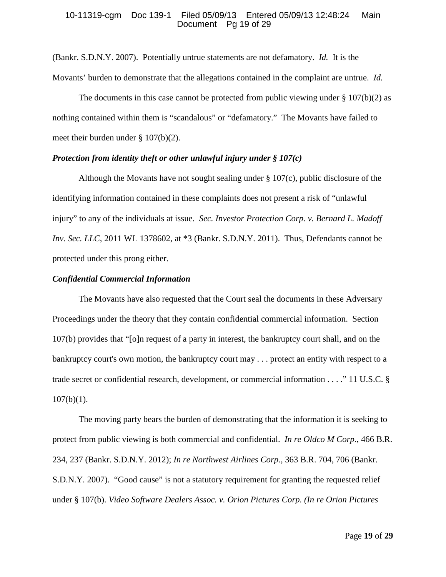#### 10-11319-cgm Doc 139-1 Filed 05/09/13 Entered 05/09/13 12:48:24 Main Document Pg 19 of 29

(Bankr. S.D.N.Y. 2007). Potentially untrue statements are not defamatory. *Id.* It is the Movants' burden to demonstrate that the allegations contained in the complaint are untrue. *Id.*

The documents in this case cannot be protected from public viewing under  $\S 107(b)(2)$  as nothing contained within them is "scandalous" or "defamatory." The Movants have failed to meet their burden under § 107(b)(2).

## *Protection from identity theft or other unlawful injury under § 107(c)*

Although the Movants have not sought sealing under  $\S 107(c)$ , public disclosure of the identifying information contained in these complaints does not present a risk of "unlawful injury" to any of the individuals at issue. *Sec. Investor Protection Corp. v. Bernard L. Madoff Inv. Sec. LLC*, 2011 WL 1378602, at \*3 (Bankr. S.D.N.Y. 2011). Thus, Defendants cannot be protected under this prong either.

#### *Confidential Commercial Information*

The Movants have also requested that the Court seal the documents in these Adversary Proceedings under the theory that they contain confidential commercial information. Section 107(b) provides that "[o]n request of a party in interest, the bankruptcy court shall, and on the bankruptcy court's own motion, the bankruptcy court may . . . protect an entity with respect to a trade secret or confidential research, development, or commercial information . . . ." 11 U.S.C. §  $107(b)(1)$ .

The moving party bears the burden of demonstrating that the information it is seeking to protect from public viewing is both commercial and confidential. *In re Oldco M Corp.*, 466 B.R. 234, 237 (Bankr. S.D.N.Y. 2012); *In re Northwest Airlines Corp.*, 363 B.R. 704, 706 (Bankr. S.D.N.Y. 2007). "Good cause" is not a statutory requirement for granting the requested relief under § 107(b). *Video Software Dealers Assoc. v. Orion Pictures Corp. (In re Orion Pictures*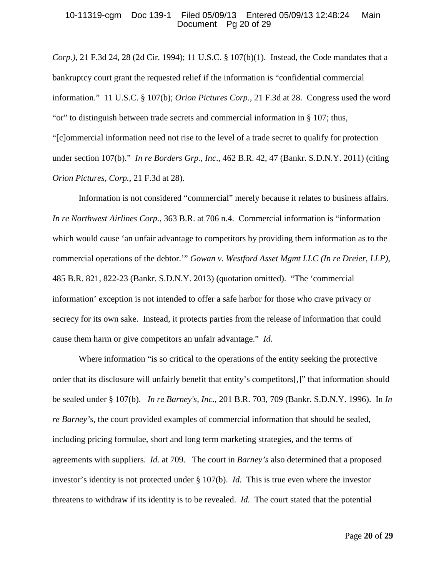#### 10-11319-cgm Doc 139-1 Filed 05/09/13 Entered 05/09/13 12:48:24 Main Document Pg 20 of 29

*Corp.)*, 21 F.3d 24, 28 (2d Cir. 1994); 11 U.S.C. § 107(b)(1). Instead, the Code mandates that a bankruptcy court grant the requested relief if the information is "confidential commercial information." 11 U.S.C. § 107(b); *Orion Pictures Corp*., 21 F.3d at 28. Congress used the word "or" to distinguish between trade secrets and commercial information in § 107; thus, "[c]ommercial information need not rise to the level of a trade secret to qualify for protection under section 107(b)." *In re Borders Grp., Inc*., 462 B.R. 42, 47 (Bankr. S.D.N.Y. 2011) (citing *Orion Pictures, Corp.*, 21 F.3d at 28).

Information is not considered "commercial" merely because it relates to business affairs*. In re Northwest Airlines Corp.*, 363 B.R. at 706 n.4. Commercial information is "information which would cause 'an unfair advantage to competitors by providing them information as to the commercial operations of the debtor.'" *Gowan v. Westford Asset Mgmt LLC (In re Dreier, LLP)*, 485 B.R. 821, 822-23 (Bankr. S.D.N.Y. 2013) (quotation omitted). "The 'commercial information' exception is not intended to offer a safe harbor for those who crave privacy or secrecy for its own sake. Instead, it protects parties from the release of information that could cause them harm or give competitors an unfair advantage." *Id.*

Where information "is so critical to the operations of the entity seeking the protective order that its disclosure will unfairly benefit that entity's competitors[,]" that information should be sealed under § 107(b). *In re Barney's, Inc.*, 201 B.R. 703, 709 (Bankr. S.D.N.Y. 1996). In *In re Barney's*, the court provided examples of commercial information that should be sealed, including pricing formulae, short and long term marketing strategies, and the terms of agreements with suppliers. *Id.* at 709. The court in *Barney's* also determined that a proposed investor's identity is not protected under § 107(b). *Id.* This is true even where the investor threatens to withdraw if its identity is to be revealed. *Id.* The court stated that the potential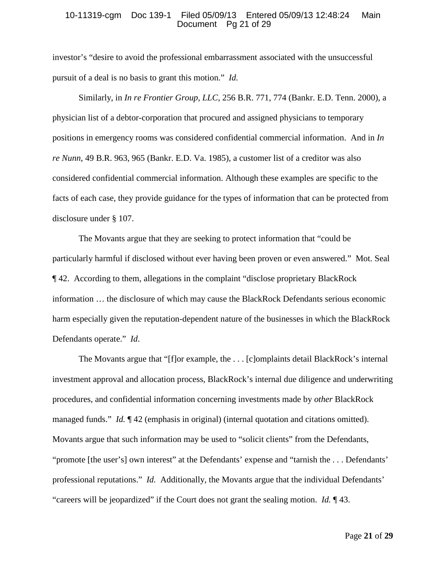#### 10-11319-cgm Doc 139-1 Filed 05/09/13 Entered 05/09/13 12:48:24 Main Document Pg 21 of 29

investor's "desire to avoid the professional embarrassment associated with the unsuccessful pursuit of a deal is no basis to grant this motion." *Id.*

Similarly, in *In re Frontier Group, LLC*, 256 B.R. 771, 774 (Bankr. E.D. Tenn. 2000), a physician list of a debtor-corporation that procured and assigned physicians to temporary positions in emergency rooms was considered confidential commercial information. And in *In re Nunn*, 49 B.R. 963, 965 (Bankr. E.D. Va. 1985), a customer list of a creditor was also considered confidential commercial information. Although these examples are specific to the facts of each case, they provide guidance for the types of information that can be protected from disclosure under § 107.

The Movants argue that they are seeking to protect information that "could be particularly harmful if disclosed without ever having been proven or even answered." Mot. Seal ¶ 42. According to them, allegations in the complaint "disclose proprietary BlackRock information … the disclosure of which may cause the BlackRock Defendants serious economic harm especially given the reputation-dependent nature of the businesses in which the BlackRock Defendants operate." *Id*.

The Movants argue that "[f]or example, the . . . [c]omplaints detail BlackRock's internal investment approval and allocation process, BlackRock's internal due diligence and underwriting procedures, and confidential information concerning investments made by *other* BlackRock managed funds." *Id.* ¶ 42 (emphasis in original) (internal quotation and citations omitted). Movants argue that such information may be used to "solicit clients" from the Defendants, "promote [the user's] own interest" at the Defendants' expense and "tarnish the . . . Defendants' professional reputations." *Id.* Additionally, the Movants argue that the individual Defendants' "careers will be jeopardized" if the Court does not grant the sealing motion. *Id.* ¶ 43.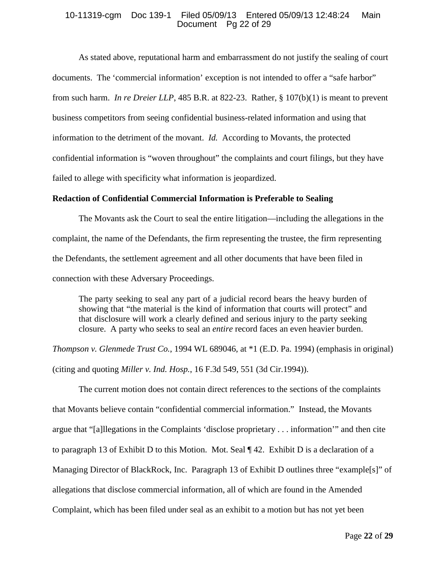## 10-11319-cgm Doc 139-1 Filed 05/09/13 Entered 05/09/13 12:48:24 Main Document Pg 22 of 29

As stated above, reputational harm and embarrassment do not justify the sealing of court documents. The 'commercial information' exception is not intended to offer a "safe harbor" from such harm. *In re Dreier LLP*, 485 B.R. at 822-23. Rather, § 107(b)(1) is meant to prevent business competitors from seeing confidential business-related information and using that information to the detriment of the movant. *Id.* According to Movants, the protected confidential information is "woven throughout" the complaints and court filings, but they have failed to allege with specificity what information is jeopardized.

## **Redaction of Confidential Commercial Information is Preferable to Sealing**

The Movants ask the Court to seal the entire litigation—including the allegations in the complaint, the name of the Defendants, the firm representing the trustee, the firm representing the Defendants, the settlement agreement and all other documents that have been filed in connection with these Adversary Proceedings.

The party seeking to seal any part of a judicial record bears the heavy burden of showing that "the material is the kind of information that courts will protect" and that disclosure will work a clearly defined and serious injury to the party seeking closure. A party who seeks to seal an *entire* record faces an even heavier burden.

*Thompson v. Glenmede Trust Co.*, 1994 WL 689046, at  $*1$  (E.D. Pa. 1994) (emphasis in original) (citing and quoting *Miller v. Ind. Hosp.*, 16 F.3d 549, 551 (3d Cir.1994)).

The current motion does not contain direct references to the sections of the complaints that Movants believe contain "confidential commercial information." Instead, the Movants argue that "[a]llegations in the Complaints 'disclose proprietary . . . information'" and then cite to paragraph 13 of Exhibit D to this Motion. Mot. Seal  $\P$  42. Exhibit D is a declaration of a Managing Director of BlackRock, Inc. Paragraph 13 of Exhibit D outlines three "example[s]" of allegations that disclose commercial information, all of which are found in the Amended Complaint, which has been filed under seal as an exhibit to a motion but has not yet been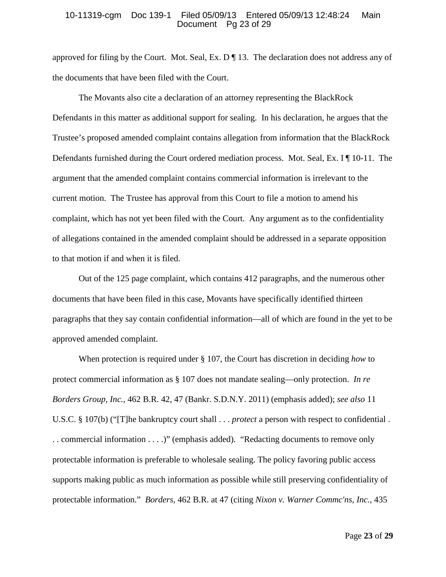#### 10-11319-cgm Doc 139-1 Filed 05/09/13 Entered 05/09/13 12:48:24 Main Document Pg 23 of 29

approved for filing by the Court. Mot. Seal, Ex. D ¶ 13. The declaration does not address any of the documents that have been filed with the Court.

The Movants also cite a declaration of an attorney representing the BlackRock Defendants in this matter as additional support for sealing. In his declaration, he argues that the Trustee's proposed amended complaint contains allegation from information that the BlackRock Defendants furnished during the Court ordered mediation process. Mot. Seal, Ex. I ¶ 10-11. The argument that the amended complaint contains commercial information is irrelevant to the current motion. The Trustee has approval from this Court to file a motion to amend his complaint, which has not yet been filed with the Court. Any argument as to the confidentiality of allegations contained in the amended complaint should be addressed in a separate opposition to that motion if and when it is filed.

Out of the 125 page complaint, which contains 412 paragraphs, and the numerous other documents that have been filed in this case, Movants have specifically identified thirteen paragraphs that they say contain confidential information—all of which are found in the yet to be approved amended complaint.

When protection is required under § 107, the Court has discretion in deciding *how* to protect commercial information as § 107 does not mandate sealing—only protection. *In re Borders Group, Inc.*, 462 B.R. 42, 47 (Bankr. S.D.N.Y. 2011) (emphasis added); *see also* 11 U.S.C. § 107(b) ("[T]he bankruptcy court shall . . . *protect* a person with respect to confidential . . . commercial information . . . .)" (emphasis added). "Redacting documents to remove only protectable information is preferable to wholesale sealing. The policy favoring public access supports making public as much information as possible while still preserving confidentiality of protectable information." *Borders*, 462 B.R. at 47 (citing *Nixon v. Warner Commc'ns, Inc.*, 435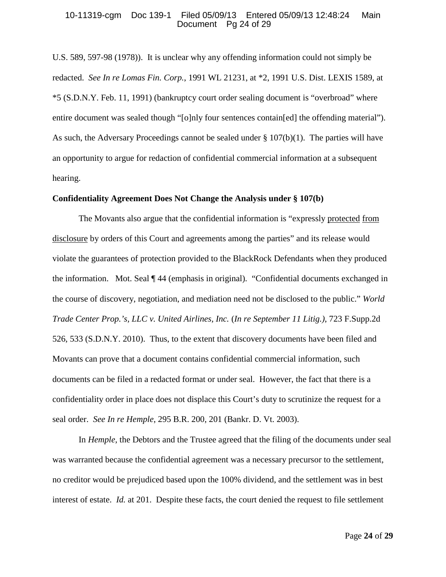#### 10-11319-cgm Doc 139-1 Filed 05/09/13 Entered 05/09/13 12:48:24 Main Document Pg 24 of 29

U.S. 589, 597-98 (1978)). It is unclear why any offending information could not simply be redacted. *See In re Lomas Fin. Corp.*, 1991 WL 21231, at \*2, 1991 U.S. Dist. LEXIS 1589, at \*5 (S.D.N.Y. Feb. 11, 1991) (bankruptcy court order sealing document is "overbroad" where entire document was sealed though "[o]nly four sentences contain[ed] the offending material"). As such, the Adversary Proceedings cannot be sealed under § 107(b)(1). The parties will have an opportunity to argue for redaction of confidential commercial information at a subsequent hearing.

#### **Confidentiality Agreement Does Not Change the Analysis under § 107(b)**

The Movants also argue that the confidential information is "expressly protected from disclosure by orders of this Court and agreements among the parties" and its release would violate the guarantees of protection provided to the BlackRock Defendants when they produced the information. Mot. Seal ¶ 44 (emphasis in original). "Confidential documents exchanged in the course of discovery, negotiation, and mediation need not be disclosed to the public." *World Trade Center Prop.'s, LLC v. United Airlines, Inc.* (*In re September 11 Litig.)*, 723 F.Supp.2d 526, 533 (S.D.N.Y. 2010). Thus, to the extent that discovery documents have been filed and Movants can prove that a document contains confidential commercial information, such documents can be filed in a redacted format or under seal. However, the fact that there is a confidentiality order in place does not displace this Court's duty to scrutinize the request for a seal order. *See In re Hemple*, 295 B.R. 200, 201 (Bankr. D. Vt. 2003).

In *Hemple*, the Debtors and the Trustee agreed that the filing of the documents under seal was warranted because the confidential agreement was a necessary precursor to the settlement, no creditor would be prejudiced based upon the 100% dividend, and the settlement was in best interest of estate. *Id.* at 201. Despite these facts, the court denied the request to file settlement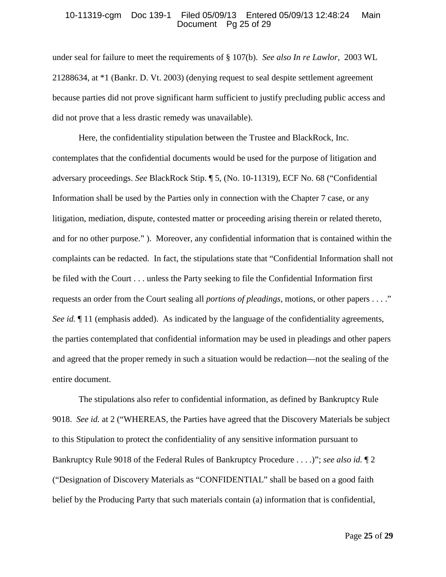#### 10-11319-cgm Doc 139-1 Filed 05/09/13 Entered 05/09/13 12:48:24 Main Document Pg 25 of 29

under seal for failure to meet the requirements of § 107(b). *See also In re Lawlor*, 2003 WL 21288634, at \*1 (Bankr. D. Vt. 2003) (denying request to seal despite settlement agreement because parties did not prove significant harm sufficient to justify precluding public access and did not prove that a less drastic remedy was unavailable).

Here, the confidentiality stipulation between the Trustee and BlackRock, Inc. contemplates that the confidential documents would be used for the purpose of litigation and adversary proceedings. *See* BlackRock Stip. ¶ 5, (No. 10-11319), ECF No. 68 ("Confidential Information shall be used by the Parties only in connection with the Chapter 7 case, or any litigation, mediation, dispute, contested matter or proceeding arising therein or related thereto, and for no other purpose." ). Moreover, any confidential information that is contained within the complaints can be redacted. In fact, the stipulations state that "Confidential Information shall not be filed with the Court . . . unless the Party seeking to file the Confidential Information first requests an order from the Court sealing all *portions of pleadings*, motions, or other papers . . . ." *See id.* ¶ 11 (emphasis added). As indicated by the language of the confidentiality agreements, the parties contemplated that confidential information may be used in pleadings and other papers and agreed that the proper remedy in such a situation would be redaction—not the sealing of the entire document.

The stipulations also refer to confidential information, as defined by Bankruptcy Rule 9018. *See id.* at 2 ("WHEREAS, the Parties have agreed that the Discovery Materials be subject to this Stipulation to protect the confidentiality of any sensitive information pursuant to Bankruptcy Rule 9018 of the Federal Rules of Bankruptcy Procedure . . . .)"; *see also id.* ¶ 2 ("Designation of Discovery Materials as "CONFIDENTIAL" shall be based on a good faith belief by the Producing Party that such materials contain (a) information that is confidential,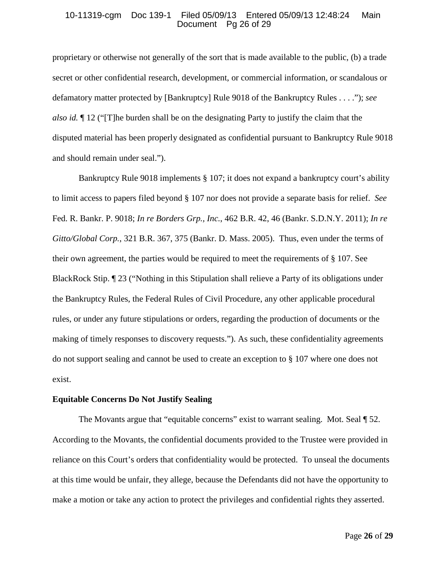#### 10-11319-cgm Doc 139-1 Filed 05/09/13 Entered 05/09/13 12:48:24 Main Document Pg 26 of 29

proprietary or otherwise not generally of the sort that is made available to the public, (b) a trade secret or other confidential research, development, or commercial information, or scandalous or defamatory matter protected by [Bankruptcy] Rule 9018 of the Bankruptcy Rules . . . ."); *see also id.* ¶ 12 ("[T]he burden shall be on the designating Party to justify the claim that the disputed material has been properly designated as confidential pursuant to Bankruptcy Rule 9018 and should remain under seal.").

Bankruptcy Rule 9018 implements § 107; it does not expand a bankruptcy court's ability to limit access to papers filed beyond § 107 nor does not provide a separate basis for relief. *See* Fed. R. Bankr. P. 9018; *In re Borders Grp., Inc.*, 462 B.R. 42, 46 (Bankr. S.D.N.Y. 2011); *In re Gitto/Global Corp.*, 321 B.R. 367, 375 (Bankr. D. Mass. 2005). Thus, even under the terms of their own agreement, the parties would be required to meet the requirements of § 107. See BlackRock Stip. ¶ 23 ("Nothing in this Stipulation shall relieve a Party of its obligations under the Bankruptcy Rules, the Federal Rules of Civil Procedure, any other applicable procedural rules, or under any future stipulations or orders, regarding the production of documents or the making of timely responses to discovery requests."). As such, these confidentiality agreements do not support sealing and cannot be used to create an exception to § 107 where one does not exist.

#### **Equitable Concerns Do Not Justify Sealing**

The Movants argue that "equitable concerns" exist to warrant sealing. Mot. Seal  $\sqrt{9}$  52. According to the Movants, the confidential documents provided to the Trustee were provided in reliance on this Court's orders that confidentiality would be protected. To unseal the documents at this time would be unfair, they allege, because the Defendants did not have the opportunity to make a motion or take any action to protect the privileges and confidential rights they asserted.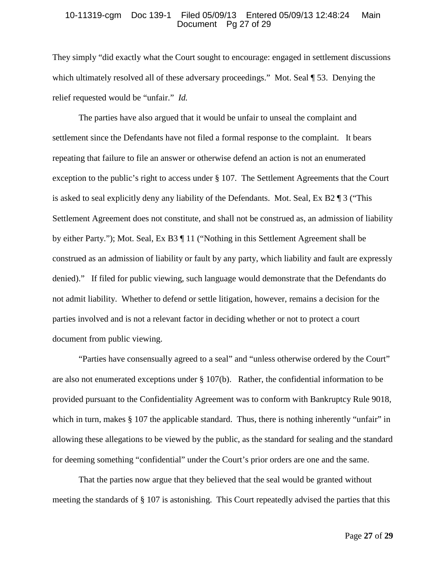#### 10-11319-cgm Doc 139-1 Filed 05/09/13 Entered 05/09/13 12:48:24 Main Document Pg 27 of 29

They simply "did exactly what the Court sought to encourage: engaged in settlement discussions which ultimately resolved all of these adversary proceedings." Mot. Seal ¶ 53. Denying the relief requested would be "unfair." *Id.*

The parties have also argued that it would be unfair to unseal the complaint and settlement since the Defendants have not filed a formal response to the complaint. It bears repeating that failure to file an answer or otherwise defend an action is not an enumerated exception to the public's right to access under § 107. The Settlement Agreements that the Court is asked to seal explicitly deny any liability of the Defendants. Mot. Seal, Ex B2 ¶ 3 ("This Settlement Agreement does not constitute, and shall not be construed as, an admission of liability by either Party."); Mot. Seal, Ex B3 ¶ 11 ("Nothing in this Settlement Agreement shall be construed as an admission of liability or fault by any party, which liability and fault are expressly denied)." If filed for public viewing, such language would demonstrate that the Defendants do not admit liability. Whether to defend or settle litigation, however, remains a decision for the parties involved and is not a relevant factor in deciding whether or not to protect a court document from public viewing.

"Parties have consensually agreed to a seal" and "unless otherwise ordered by the Court" are also not enumerated exceptions under  $\S 107(b)$ . Rather, the confidential information to be provided pursuant to the Confidentiality Agreement was to conform with Bankruptcy Rule 9018, which in turn, makes § 107 the applicable standard. Thus, there is nothing inherently "unfair" in allowing these allegations to be viewed by the public, as the standard for sealing and the standard for deeming something "confidential" under the Court's prior orders are one and the same.

That the parties now argue that they believed that the seal would be granted without meeting the standards of § 107 is astonishing. This Court repeatedly advised the parties that this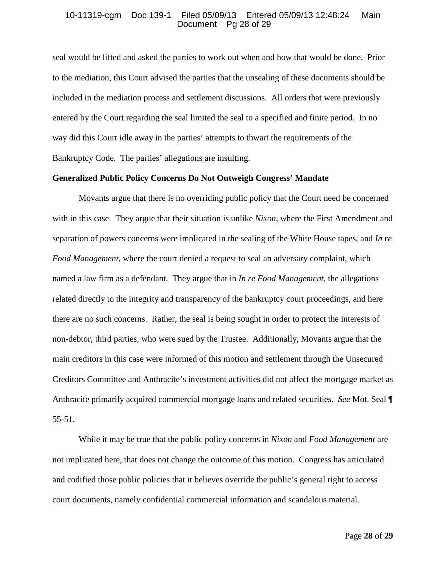#### 10-11319-cgm Doc 139-1 Filed 05/09/13 Entered 05/09/13 12:48:24 Main Document Pg 28 of 29

seal would be lifted and asked the parties to work out when and how that would be done. Prior to the mediation, this Court advised the parties that the unsealing of these documents should be included in the mediation process and settlement discussions. All orders that were previously entered by the Court regarding the seal limited the seal to a specified and finite period. In no way did this Court idle away in the parties' attempts to thwart the requirements of the Bankruptcy Code. The parties' allegations are insulting.

## **Generalized Public Policy Concerns Do Not Outweigh Congress' Mandate**

Movants argue that there is no overriding public policy that the Court need be concerned with in this case. They argue that their situation is unlike *Nixon*, where the First Amendment and separation of powers concerns were implicated in the sealing of the White House tapes, and *In re Food Management*, where the court denied a request to seal an adversary complaint, which named a law firm as a defendant. They argue that in *In re Food Management*, the allegations related directly to the integrity and transparency of the bankruptcy court proceedings, and here there are no such concerns. Rather, the seal is being sought in order to protect the interests of non-debtor, third parties, who were sued by the Trustee. Additionally, Movants argue that the main creditors in this case were informed of this motion and settlement through the Unsecured Creditors Committee and Anthracite's investment activities did not affect the mortgage market as Anthracite primarily acquired commercial mortgage loans and related securities. *See* Mot. Seal ¶ 55-51.

While it may be true that the public policy concerns in *Nixon* and *Food Management* are not implicated here, that does not change the outcome of this motion. Congress has articulated and codified those public policies that it believes override the public's general right to access court documents, namely confidential commercial information and scandalous material.